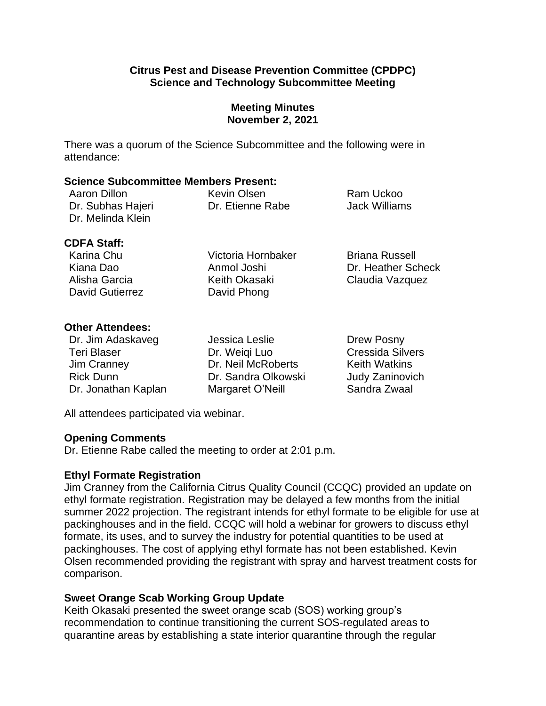### **Citrus Pest and Disease Prevention Committee (CPDPC) Science and Technology Subcommittee Meeting**

## **Meeting Minutes November 2, 2021**

There was a quorum of the Science Subcommittee and the following were in attendance:

#### **Science Subcommittee Members Present:**

| Aaron Dillon      | Kevin Olsen      | Ram Uckoo     |
|-------------------|------------------|---------------|
| Dr. Subhas Hajeri | Dr. Etienne Rabe | Jack Williams |
| Dr. Melinda Klein |                  |               |

#### **CDFA Staff:**

David Gutierrez **David Phong** 

Karina Chu Victoria Hornbaker Briana Russell Alisha Garcia **Keith Okasaki** Claudia Vazquez

Kiana Dao Anmol Joshi Dr. Heather Scheck

## **Other Attendees:**

| Dr. Jim Adaskaveg   | Jessica Leslie      | Drew Posny              |
|---------------------|---------------------|-------------------------|
| <b>Teri Blaser</b>  | Dr. Weigi Luo       | <b>Cressida Silvers</b> |
| Jim Cranney         | Dr. Neil McRoberts  | <b>Keith Watkins</b>    |
| <b>Rick Dunn</b>    | Dr. Sandra Olkowski | Judy Zaninovich         |
| Dr. Jonathan Kaplan | Margaret O'Neill    | Sandra Zwaal            |

All attendees participated via webinar.

### **Opening Comments**

Dr. Etienne Rabe called the meeting to order at 2:01 p.m.

### **Ethyl Formate Registration**

 Jim Cranney from the California Citrus Quality Council (CCQC) provided an update on ethyl formate registration. Registration may be delayed a few months from the initial summer 2022 projection. The registrant intends for ethyl formate to be eligible for use at packinghouses and in the field. CCQC will hold a webinar for growers to discuss ethyl formate, its uses, and to survey the industry for potential quantities to be used at packinghouses. The cost of applying ethyl formate has not been established. Kevin Olsen recommended providing the registrant with spray and harvest treatment costs for comparison.

# **Sweet Orange Scab Working Group Update**

Keith Okasaki presented the sweet orange scab (SOS) working group's recommendation to continue transitioning the current SOS-regulated areas to quarantine areas by establishing a state interior quarantine through the regular